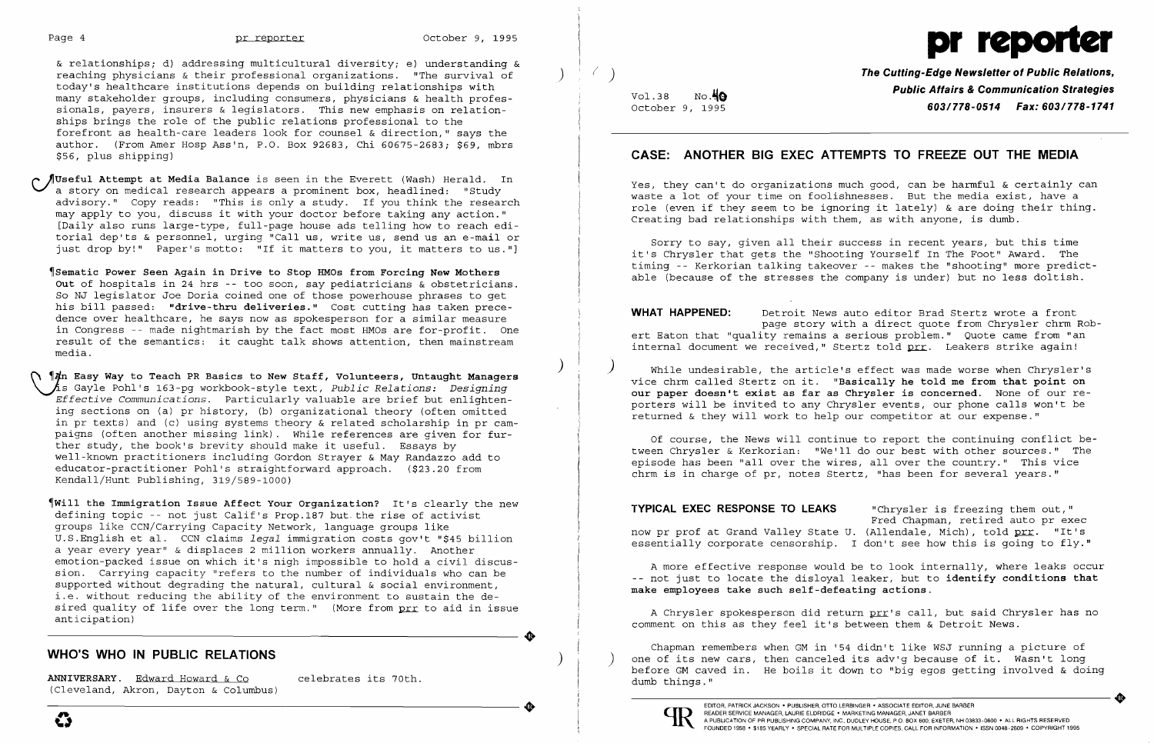& relationships; d) addressing multicultural diversity; e) understanding & reaching physicians & their professional organizations. "The survival of ) today's healthcare institutions depends on building relationships with many stakeholder groups, including consumers, physicians & health profes sionals, payers, insurers & legislators. This new emphasis on relation ships brings the role of the public relations professional to the forefront as health-care leaders look for counsel & direction," says the author. (From Amer Hosp Ass'n, P.O. Box 92683, Chi 60675-2683; \$69, mbrs \$56, plus shipping)

Sematic Power Seen Again in Drive to Stop HMOs from Forcing New Mothers **Out** of hospitals in 24 hrs -- too soon, say pediatricians & obstetricians. So NJ legislator Joe Doria coined one of those powerhouse phrases to get his bill passed: **"drive-thru deliveries."** Cost cutting has taken prece dence over healthcare, he says now as spokesperson for a similar measure in Congress -- made nightmarish by the fact most HMOs are for-profit. One In congress a made ingremation by the face most most die for profit. One<br>result of the semantics: it caught talk shows attention, then mainstream media.

~Useful **Attempt at Media Balance** is seen in the Everett (Wash) Herald. In **\-/a** story on medical research appears a prominent box, headlined: "Study advisory." Copy reads: "This is only a study. If you think the research may apply to you, discuss it with your doctor before taking any action." [Daily also runs large-type, full-page house ads telling how to reach editorial dep'ts & personnel, urging "Call us, write us, send us an e-mail or just drop by!" Paper's motto: "If it matters to you, it matters to us."]

Vol.38 October 9, 1995 No.40

 $( )$ 

 $\left( \right)$ 

) (\ ~fn **Easy Way to Teach PR Basics to New Staff, Volunteers, Untaught Managers**  ~s Gayle Pohl's 163-pg workbook-style text, *Public Relations: Designing Effective Communications.* Particularly valuable are brief but enlightening sections on (a) pr history, (b) organizational theory (often omitted in pr texts) and (c) using systems theory & related scholarship in pr campaigns (often another missing link). While references are given for further study, the book's brevity should make it useful. Essays by well-known practitioners including Gordon Strayer & May Randazzo add to educator-practitioner Pohl's straightforward approach. (\$23.20 from Kendall/Hunt Publishing, 319/589-1000)

**VVHAT HAPPENED:** Detroit News auto editor Brad Stertz wrote a front page story with a direct quote from Chrysler chrm Robert Eaton that "quality remains a serious problem." Quote came from "an internal document we received," Stertz told prr. Leakers strike again!

~Will **the Immigration Issue Affect Your Organization?** It's clearly the new defining topic -- not just Calif's Prop.187 but. the rise of activist groups like CCN/Carrying Capacity Network, language groups like U.S.English et al. CCN claims *legal* immigration costs gov't "\$45 billion a year every year" & displaces 2 million workers annually. Another a year every year a displaces 2 million workers annually. Another<br>emotion-packed issue on which it's nigh impossible to hold a civil discussion. Carrying capacity "refers to the number of individuals who can be supported without degrading the natural, cultural & social environment, i.e. without reducing the ability of the environment to sustain the desired quality of life over the long term." (More from prr to aid in issue anticipation)

# **WHO'S WHO IN PUBLIC RELATIONS** )

ANNIVERSARY. Edward Howard & Co celebrates its 70th. (Cleveland, Akron, Dayton & Columbus) ANNIVERSARY. Edward Howard & Co celebrates its 70th.<br>(Cleveland, Akron, Dayton & Columbus)

e



**The Cutting-Edge Newsletter of Public Relations, Public Affairs & Communication Strategies**  *603/778-0514 Fax: 603/778-1741* 

### **CASE: ANOTHER BIG EXEC ATTEMPTS TO FREEZE OUT THE MEDIA**

Yes, they can't do organizations much good, can be harmful & certainly can waste a lot of your time on foolishnesses. But the media exist, have a role (even if they seem to be ignoring it lately) & are doing their thing. Creating bad relationships with them, as with anyone, is dumb.

Sorry to say, given all their success in recent years, but this time it's Chrysler that gets the "Shooting Yourself In The Foot" Award. The timing -- Kerkorian talking takeover - makes the "shooting" more predictable (because of the stresses the company is under) but no less doltish.

While undesirable, the article's effect was made worse when Chrysler's vice chrm called Stertz on it. **"Basically he told me from that point on our paper doesn't exist as far as Chrysler is concerned.** None of our reporters will be invited to any Chrysler events, our phone calls won't be returned & they will work to help our competitor at our expense."

Of course, the News will continue to report the continuing conflict between Chrysler & Kerkorian: "We'll do our best with other sources." The episode has been "all over the wires, all over the country." This vice chrm is in charge of pr, notes Stertz, "has been for several years."

)

"Chrysler is freezing them out," Fred Chapman, retired auto pr exec now pr prof at Grand Valley State U. (Allendale, Mich), told <u>prr</u>. "It's essentially corporate censorship. I don't see how this is going to fly." **TYPICAL EXEC RESPONSE TO LEAKS** 

A Chrysler spokesperson did return prr's call, but said Chrysler has no comment on this as they feel it's between them & Detroit News .

Chapman remembers when GM in '54 didn't like WSJ running a picture of one of its new cars, then canceled its adv'g because of it. Wasn't long before GM caved in. He boils it down to "big egos getting involved & doing dumb things."



**•** 

A more effective response would be to look internally, where leaks occur not just to locate the disloyal leaker, but to **identify conditions that make employees take such self-defeating actions.** 

.